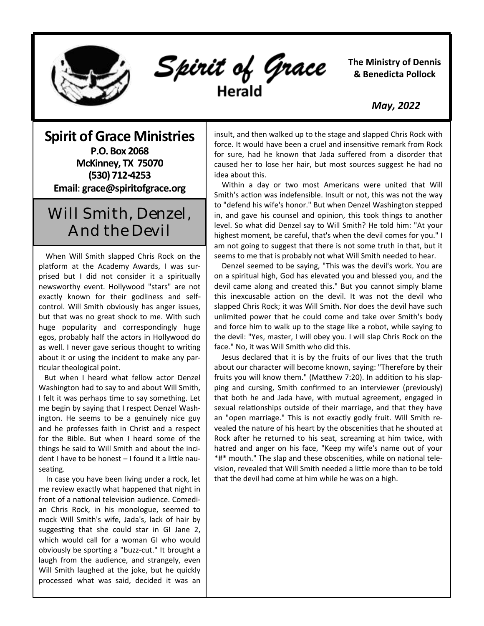

Spirit of Grace Herald

**The Ministry of Dennis & Benedicta Pollock**

 *May, 2022*

**Spirit of Grace Ministries P.O. Box 2068 McKinney, TX 75070 (530) 712-4253 Email**: **grace@spiritofgrace.org**

## Will Smith, Denzel, And the Devil

 When Will Smith slapped Chris Rock on the platform at the Academy Awards, I was surprised but I did not consider it a spiritually newsworthy event. Hollywood "stars" are not exactly known for their godliness and selfcontrol. Will Smith obviously has anger issues, but that was no great shock to me. With such huge popularity and correspondingly huge egos, probably half the actors in Hollywood do as well. I never gave serious thought to writing about it or using the incident to make any particular theological point.

 But when I heard what fellow actor Denzel Washington had to say to and about Will Smith, I felt it was perhaps time to say something. Let me begin by saying that I respect Denzel Washington. He seems to be a genuinely nice guy and he professes faith in Christ and a respect for the Bible. But when I heard some of the things he said to Will Smith and about the incident I have to be honest – I found it a little nauseating.

 In case you have been living under a rock, let me review exactly what happened that night in front of a national television audience. Comedian Chris Rock, in his monologue, seemed to mock Will Smith's wife, Jada's, lack of hair by suggesting that she could star in GI Jane 2, which would call for a woman GI who would obviously be sporting a "buzz-cut." It brought a laugh from the audience, and strangely, even Will Smith laughed at the joke, but he quickly processed what was said, decided it was an insult, and then walked up to the stage and slapped Chris Rock with force. It would have been a cruel and insensitive remark from Rock for sure, had he known that Jada suffered from a disorder that caused her to lose her hair, but most sources suggest he had no idea about this.

 Within a day or two most Americans were united that Will Smith's action was indefensible. Insult or not, this was not the way to "defend his wife's honor." But when Denzel Washington stepped in, and gave his counsel and opinion, this took things to another level. So what did Denzel say to Will Smith? He told him: "At your highest moment, be careful, that's when the devil comes for you." I am not going to suggest that there is not some truth in that, but it seems to me that is probably not what Will Smith needed to hear.

 Denzel seemed to be saying, "This was the devil's work. You are on a spiritual high, God has elevated you and blessed you, and the devil came along and created this." But you cannot simply blame this inexcusable action on the devil. It was not the devil who slapped Chris Rock; it was Will Smith. Nor does the devil have such unlimited power that he could come and take over Smith's body and force him to walk up to the stage like a robot, while saying to the devil: "Yes, master, I will obey you. I will slap Chris Rock on the face." No, it was Will Smith who did this.

 Jesus declared that it is by the fruits of our lives that the truth about our character will become known, saying: "Therefore by their fruits you will know them." (Matthew 7:20). In addition to his slapping and cursing, Smith confirmed to an interviewer (previously) that both he and Jada have, with mutual agreement, engaged in sexual relationships outside of their marriage, and that they have an "open marriage." This is not exactly godly fruit. Will Smith revealed the nature of his heart by the obscenities that he shouted at Rock after he returned to his seat, screaming at him twice, with hatred and anger on his face, "Keep my wife's name out of your \*#\* mouth." The slap and these obscenities, while on national television, revealed that Will Smith needed a little more than to be told that the devil had come at him while he was on a high.